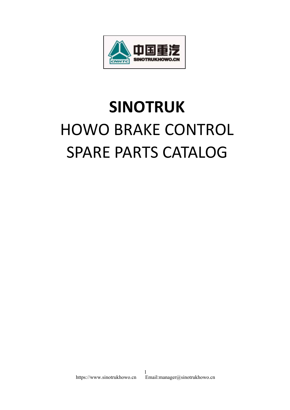

## **SINOTRUK** HOWO BRAKE CONTROL SPARE PARTS CATALOG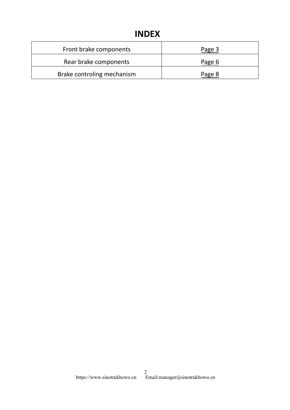## **INDEX**

| <b>INDEX</b>           |        |
|------------------------|--------|
| Front brake components | Page 3 |
| Rear brake components  | Page 6 |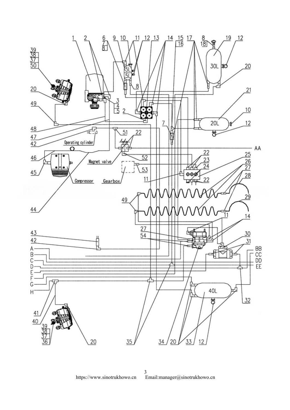<span id="page-2-0"></span>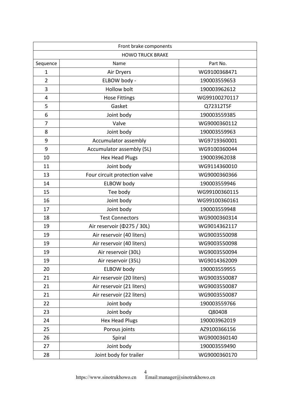|                         | Front brake components        |               |
|-------------------------|-------------------------------|---------------|
|                         | <b>HOWO TRUCK BRAKE</b>       |               |
| Sequence                | Name                          | Part No.      |
| $\mathbf{1}$            | Air Dryers                    | WG9100368471  |
| $\overline{2}$          | ELBOW body -                  | 190003559653  |
| 3                       | <b>Hollow bolt</b>            | 190003962612  |
| $\overline{\mathbf{4}}$ | <b>Hose Fittings</b>          | WG99100270117 |
| 5                       | Gasket                        | Q72312T5F     |
| 6                       | Joint body                    | 190003559385  |
| $\overline{7}$          | Valve                         | WG9000360112  |
| 8                       | Joint body                    | 190003559963  |
| 9                       | Accumulator assembly          | WG9719360001  |
| 9                       | Accumulator assembly (5L)     | WG9100360044  |
| 10                      | <b>Hex Head Plugs</b>         | 190003962038  |
| 11                      | Joint body                    | WG9114360010  |
| 13                      | Four circuit protection valve | WG9000360366  |
| 14                      | ELBOW body                    | 190003559946  |
| 15                      | Tee body                      | WG99100360115 |
| 16                      | Joint body                    | WG99100360161 |
| 17                      | Joint body                    | 190003559948  |
| 18                      | <b>Test Connectors</b>        | WG9000360314  |
| 19                      | Air reservoir (0275 / 30L)    | WG9014362117  |
| 19                      | Air reservoir (40 liters)     | WG9003550098  |
| 19                      | Air reservoir (40 liters)     | WG9003550098  |
| 19                      | Air reservoir (30L)           | WG9003550094  |
| 19                      | Air reservoir (35L)           | WG9014362009  |
| 20                      | <b>ELBOW</b> body             | 190003559955  |
| 21                      | Air reservoir (20 liters)     | WG9003550087  |
| 21                      | Air reservoir (21 liters)     | WG9003550087  |
| 21                      | Air reservoir (22 liters)     | WG9003550087  |
| 22                      | Joint body                    | 190003559766  |
| 23                      | Joint body                    | Q80408        |
| 24                      | <b>Hex Head Plugs</b>         | 190003962019  |
| 25                      | Porous joints                 | AZ9100366156  |
| 26                      | Spiral                        | WG9000360140  |
| 27                      | Joint body                    | 190003559490  |
| 28                      | Joint body for trailer        | WG9000360170  |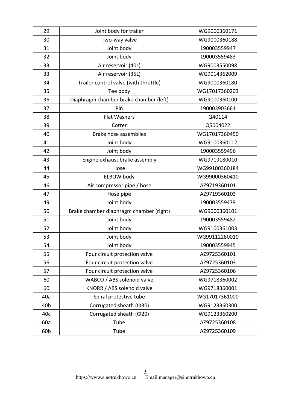| 29              | Joint body for trailer                  | WG9000360171  |
|-----------------|-----------------------------------------|---------------|
| 30              | Two-way valve                           | WG9000360188  |
| 31              | Joint body                              | 190003559947  |
| 32              | Joint body                              | 190003559483  |
| 33              | Air reservoir (40L)                     | WG9003550098  |
| 33              | Air reservoir (35L)                     | WG9014362009  |
| 34              | Trailer control valve (with throttle)   | WG9000360180  |
| 35              | Tee body                                | WG17017360203 |
| 36              | Diaphragm chamber brake chamber (left)  | WG9000360100  |
| 37              | Pin                                     | 190003903661  |
| 38              | <b>Flat Washers</b>                     | Q40114        |
| 39              | Cotter                                  | Q5004022      |
| 40              | Brake hose assemblies                   | WG17017360450 |
| 41              | Joint body                              | WG9100360112  |
| 42              | Joint body                              | 190003559496  |
| 43              | Engine exhaust brake assembly           | WG9719180010  |
| 44              | Hose                                    | WG99100360184 |
| 45              | ELBOW body                              | WG99000360410 |
| 46              | Air compressor pipe / hose              | AZ9719360101  |
| 47              | Hose pipe                               | AZ9719360103  |
| 49              | Joint body                              | 190003559479  |
| 50              | Brake chamber diaphragm chamber (right) | WG9000360101  |
| 51              | Joint body                              | 190003559482  |
| 52              | Joint body                              | WG9100361003  |
| 53              | Joint body                              | WG99112280010 |
| 54              | Joint body                              | 190003559945  |
| 55              | Four circuit protection valve           | AZ9725360101  |
| 56              | Four circuit protection valve           | AZ9725360103  |
| 57              | Four circuit protection valve           | AZ9725360106  |
| 60              | WABCO / ABS solenoid valve              | WG9718360002  |
| 60              | KNORR / ABS solenoid valve              | WG9718360001  |
| 40a             | Spiral protective tube                  | WG17017361000 |
| 40 <sub>b</sub> | Corrugated sheath (Ф30)                 | WG9123360300  |
| 40c             | Corrugated sheath ( $\Phi$ 20)          | WG9123360200  |
| 60a             | Tube                                    | AZ9725360108  |
| 60b             | Tube                                    | AZ9725360109  |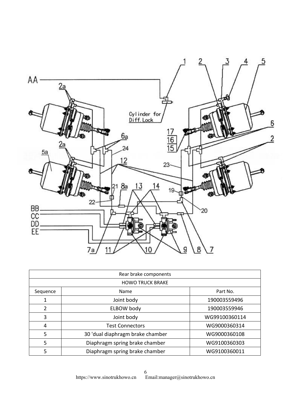<span id="page-5-0"></span>

|                         | Rear brake components            |               |
|-------------------------|----------------------------------|---------------|
| <b>HOWO TRUCK BRAKE</b> |                                  |               |
| Sequence                | <b>Name</b>                      | Part No.      |
| 1                       | Joint body                       | 190003559496  |
| 2                       | ELBOW body                       | 190003559946  |
| 3                       | Joint body                       | WG99100360114 |
| 4                       | <b>Test Connectors</b>           | WG9000360314  |
| 5                       | 30 'dual diaphragm brake chamber | WG9000360108  |
| 5                       | Diaphragm spring brake chamber   | WG9100360303  |
| 5                       | Diaphragm spring brake chamber   | WG9100360011  |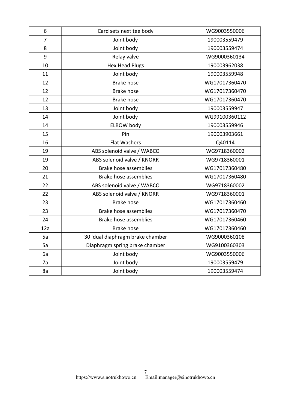| 6              | Card sets next tee body          | WG9003550006  |
|----------------|----------------------------------|---------------|
| $\overline{7}$ | Joint body                       | 190003559479  |
| 8              | Joint body                       | 190003559474  |
| 9              | Relay valve                      | WG9000360134  |
| 10             | <b>Hex Head Plugs</b>            | 190003962038  |
| 11             | Joint body                       | 190003559948  |
| 12             | <b>Brake hose</b>                | WG17017360470 |
| 12             | Brake hose                       | WG17017360470 |
| 12             | <b>Brake hose</b>                | WG17017360470 |
| 13             | Joint body                       | 190003559947  |
| 14             | Joint body                       | WG99100360112 |
| 14             | <b>ELBOW body</b>                | 190003559946  |
| 15             | Pin                              | 190003903661  |
| 16             | <b>Flat Washers</b>              | Q40114        |
| 19             | ABS solenoid valve / WABCO       | WG9718360002  |
| 19             | ABS solenoid valve / KNORR       | WG9718360001  |
| 20             | <b>Brake hose assemblies</b>     | WG17017360480 |
| 21             | Brake hose assemblies            | WG17017360480 |
| 22             | ABS solenoid valve / WABCO       | WG9718360002  |
| 22             | ABS solenoid valve / KNORR       | WG9718360001  |
| 23             | <b>Brake hose</b>                | WG17017360460 |
| 23             | Brake hose assemblies            | WG17017360470 |
| 24             | <b>Brake hose assemblies</b>     | WG17017360460 |
| 12a            | <b>Brake hose</b>                | WG17017360460 |
| 5a             | 30 'dual diaphragm brake chamber | WG9000360108  |
| 5a             | Diaphragm spring brake chamber   | WG9100360303  |
| 6a             | Joint body                       | WG9003550006  |
| 7a             | Joint body                       | 190003559479  |
| 8a             | Joint body                       | 190003559474  |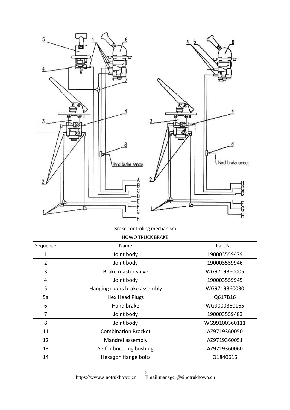<span id="page-7-0"></span>

|                         | Brake controling mechanism    |               |
|-------------------------|-------------------------------|---------------|
| <b>HOWO TRUCK BRAKE</b> |                               |               |
| Sequence                | Name                          | Part No.      |
| 1                       | Joint body                    | 190003559479  |
| $\overline{2}$          | Joint body                    | 190003559946  |
| 3                       | Brake master valve            | WG9719360005  |
| 4                       | Joint body                    | 190003559945  |
| 5                       | Hanging riders brake assembly | WG9719360030  |
| 5a                      | <b>Hex Head Plugs</b>         | Q617B16       |
| 6                       | Hand brake                    | WG9000360165  |
| 7                       | Joint body                    | 190003559483  |
| 8                       | Joint body                    | WG99100360111 |
| 11                      | <b>Combination Bracket</b>    | AZ9719360050  |
| 12                      | Mandrel assembly              | AZ9719360051  |
| 13                      | Self-lubricating bushing      | AZ9719360060  |
| 14                      | Hexagon flange bolts          | Q1840616      |

https://www.sinotrukhowo.cn Email:manager@sinotrukhowo.cn